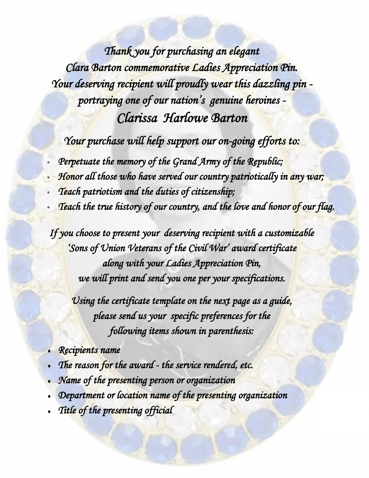*Thank you for purchasing an elegant Clara Barton commemorative Ladies Appreciation Pin. Your deserving recipient will proudly wear this dazzling pin portraying one of our nation's genuine heroines - Clarissa Harlowe Barton* 

*Your purchase will help support our on-going efforts to:* 

- *Perpetuate the memory of the Grand Army of the Republic;*
- *Honor all those who have served our country patriotically in any war;*
- *Teach patriotism and the duties of citizenship;*
- *Teach the true history of our country, and the love and honor of our flag.*

*If you choose to present your deserving recipient with a customizable 'Sons of Union Veterans of the Civil War' award certificate along with your Ladies Appreciation Pin, we will print and send you one per your specifications.* 

*Using the certificate template on the next page as a guide, please send us your specific preferences for the following items shown in parenthesis:* 

- *Recipients name*
- *The reason for the award the service rendered, etc.*
- *Name of the presenting person or organization*
- *Department or location name of the presenting organization*
- *Title of the presenting official*